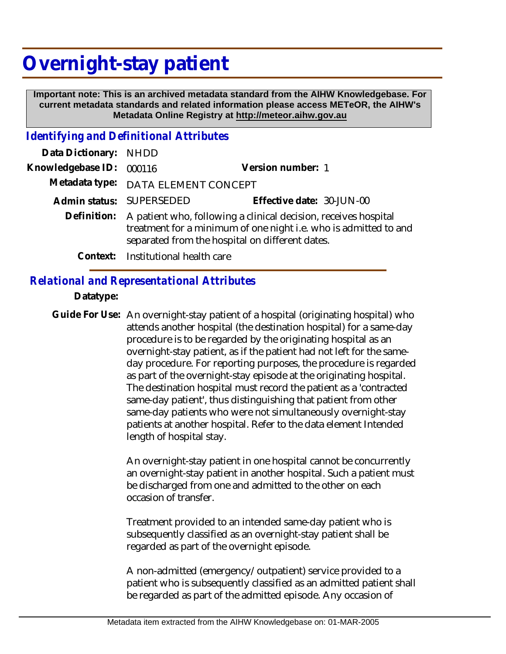# **Overnight-stay patient**

 **Important note: This is an archived metadata standard from the AIHW Knowledgebase. For current metadata standards and related information please access METeOR, the AIHW's Metadata Online Registry at http://meteor.aihw.gov.au**

#### *Identifying and Definitional Attributes*

| Data Dictionary: NHDD |                                                                                                                                                                                                    |                           |
|-----------------------|----------------------------------------------------------------------------------------------------------------------------------------------------------------------------------------------------|---------------------------|
| Knowledgebase ID:     | 000116                                                                                                                                                                                             | Version number: 1         |
|                       | Metadata type: DATA ELEMENT CONCEPT                                                                                                                                                                |                           |
|                       | Admin status: SUPERSEDED                                                                                                                                                                           | Effective date: 30-JUN-00 |
|                       | Definition: A patient who, following a clinical decision, receives hospital<br>treatment for a minimum of one night i.e. who is admitted to and<br>separated from the hospital on different dates. |                           |
|                       | Context: Institutional health care                                                                                                                                                                 |                           |

## *Relational and Representational Attributes*

#### **Datatype:**

Guide For Use: An overnight-stay patient of a hospital (originating hospital) who attends another hospital (the destination hospital) for a same-day procedure is to be regarded by the originating hospital as an overnight-stay patient, as if the patient had not left for the sameday procedure. For reporting purposes, the procedure is regarded as part of the overnight-stay episode at the originating hospital. The destination hospital must record the patient as a 'contracted same-day patient', thus distinguishing that patient from other same-day patients who were not simultaneously overnight-stay patients at another hospital. Refer to the data element Intended length of hospital stay.

> An overnight-stay patient in one hospital cannot be concurrently an overnight-stay patient in another hospital. Such a patient must be discharged from one and admitted to the other on each occasion of transfer.

Treatment provided to an intended same-day patient who is subsequently classified as an overnight-stay patient shall be regarded as part of the overnight episode.

A non-admitted (emergency/outpatient) service provided to a patient who is subsequently classified as an admitted patient shall be regarded as part of the admitted episode. Any occasion of